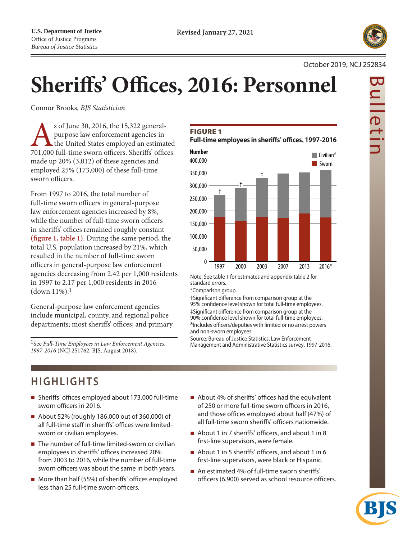

Bulletin

 $\frac{1}{1}$ 

#### October 2019, NCJ 252834

# **Sheriffs' Offices, 2016: Personnel**

Connor Brooks, *BJS Statistician*

Sof June 30, 2016, the 15,322 general-<br>
purpose law enforcement agencies in<br>
the United States employed an estimated<br>
701,000 full-time sworn officers. Sheriffs' offices purpose law enforcement agencies in the United States employed an estimated made up 20% (3,012) of these agencies and employed 25% (173,000) of these full-time sworn officers.

From 1997 to 2016, the total number of full-time sworn officers in general-purpose law enforcement agencies increased by 8%, while the number of full-time sworn officers in sheriffs' offices remained roughly constant **(figure 1, table 1)**. During the same period, the total U.S. population increased by 21%, which resulted in the number of full-time sworn officers in general-purpose law enforcement agencies decreasing from 2.42 per 1,000 residents in 1997 to 2.17 per 1,000 residents in 2016  $(down 11\%).$ <sup>1</sup>

General-purpose law enforcement agencies include municipal, county, and regional police departments; most sheriffs' offices; and primary

1See *Full-Time Employees in Law Enforcement Agencies, 1997-2016* (NCJ 251762, BJS, August 2018).

# **FIGURE 1**

**Full-time employees in sheriffs' offices, 1997-2016**



Note: See table 1 for estimates and appendix table 2 for standard errors.

\*Comparison group.

†Significant difference from comparison group at the 95% confidence level shown for total full-time employees. ‡Significant difference from comparison group at the 90% confidence level shown for total full-time employees. aIncludes officers/deputies with limited or no arrest powers and non-sworn employees.

Source: Bureau of Justice Statistics, Law Enforcement Management and Administrative Statistics survey, 1997-2016.

# **HIGHLIGHTS**

- Sheriffs' offices employed about 173,000 full-time sworn officers in 2016.
- About 52% (roughly 186,000 out of 360,000) of all full-time staff in sheriffs' offices were limitedsworn or civilian employees.
- The number of full-time limited-sworn or civilian employees in sheriffs' offices increased 20% from 2003 to 2016, while the number of full-time sworn officers was about the same in both years.
- More than half (55%) of sheriffs' offices employed less than 25 full-time sworn officers.
- About 4% of sheriffs' offices had the equivalent of 250 or more full-time sworn officers in 2016, and those offices employed about half (47%) of all full-time sworn sheriffs' officers nationwide.
- About 1 in 7 sheriffs' officers, and about 1 in 8 first-line supervisors, were female.
- About 1 in 5 sheriffs' officers, and about 1 in 6 first-line supervisors, were black or Hispanic.
- An estimated 4% of full-time sworn sheriffs' officers (6,900) served as school resource officers.

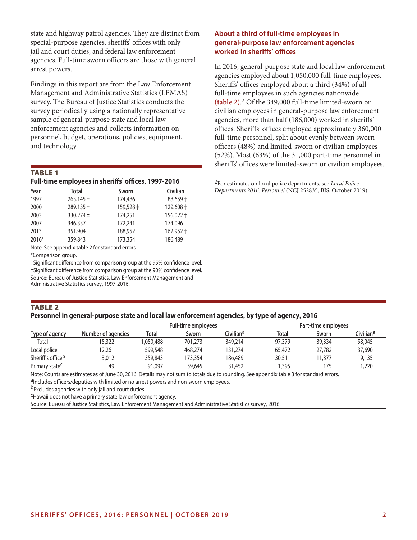state and highway patrol agencies. They are distinct from special-purpose agencies, sheriffs' offices with only jail and court duties, and federal law enforcement agencies. Full-time sworn officers are those with general arrest powers.

Findings in this report are from the Law Enforcement Management and Administrative Statistics (LEMAS) survey. The Bureau of Justice Statistics conducts the survey periodically using a nationally representative sample of general-purpose state and local law enforcement agencies and collects information on personnel, budget, operations, policies, equipment, and technology.

#### TABLe 1

#### **Full-time employees in sheriffs' offices, 1997-2016**

| Year  | <b>Total</b>      | Sworn     | Civilian  |
|-------|-------------------|-----------|-----------|
| 1997  | $263,145 \dagger$ | 174,486   | 88,659 +  |
| 2000  | 289,135 +         | 159,528 ‡ | 129,608 + |
| 2003  | $330,274 \pm$     | 174,251   | 156,022 + |
| 2007  | 346,337           | 172,241   | 174,096   |
| 2013  | 351,904           | 188,952   | 162,952 + |
| 2016* | 359,843           | 173,354   | 186,489   |

Note: See appendix table 2 for standard errors.

\*Comparison group.

†Significant difference from comparison group at the 95% confidence level. ‡Significant difference from comparison group at the 90% confidence level. Source: Bureau of Justice Statistics, Law Enforcement Management and Administrative Statistics survey, 1997-2016.

# **About a third of full-time employees in general-purpose law enforcement agencies worked in sheriffs' offices**

In 2016, general-purpose state and local law enforcement agencies employed about 1,050,000 full-time employees. Sheriffs' offices employed about a third (34%) of all full-time employees in such agencies nationwide **(table 2)**. 2 Of the 349,000 full-time limited-sworn or civilian employees in general-purpose law enforcement agencies, more than half (186,000) worked in sheriffs' offices. Sheriffs' offices employed approximately 360,000 full-time personnel, split about evenly between sworn officers (48%) and limited-sworn or civilian employees (52%). Most (63%) of the 31,000 part-time personnel in sheriffs' offices were limited-sworn or civilian employees.

2For estimates on local police departments, see *Local Police Departments 2016: Personnel* (NCJ 252835, BJS, October 2019).

#### TABLe 2 **Personnel in general-purpose state and local law enforcement agencies, by type of agency, 2016**

|                               |                    |           | <b>Full-time employees</b> |                       | Part-time employees |        |                       |  |
|-------------------------------|--------------------|-----------|----------------------------|-----------------------|---------------------|--------|-----------------------|--|
| Type of agency                | Number of agencies | Total     | Sworn                      | Civilian <sup>a</sup> | <b>Total</b>        | Sworn  | Civilian <sup>a</sup> |  |
| Total                         | 15.322             | 1.050.488 | 701,273                    | 349,214               | 97,379              | 39,334 | 58,045                |  |
| Local police                  | 12.261             | 599,548   | 468,274                    | 131.274               | 65,472              | 27,782 | 37,690                |  |
| Sheriff's office <sup>b</sup> | 3,012              | 359,843   | 173.354                    | 186.489               | 30,511              | 1,377  | 19,135                |  |
| Primary state <sup>c</sup>    | 49                 | 91,097    | 59,645                     | 31,452                | ,395                | 175    | .220                  |  |

Note: Counts are estimates as of June 30, 2016. Details may not sum to totals due to rounding. See appendix table 3 for standard errors.<br><sup>a</sup>Includes officers/deputies with limited or no arrest powers and non-sworn employee

b<sub>Excludes agencies with only jail and court duties.</sub>

cHawaii does not have a primary state law enforcement agency.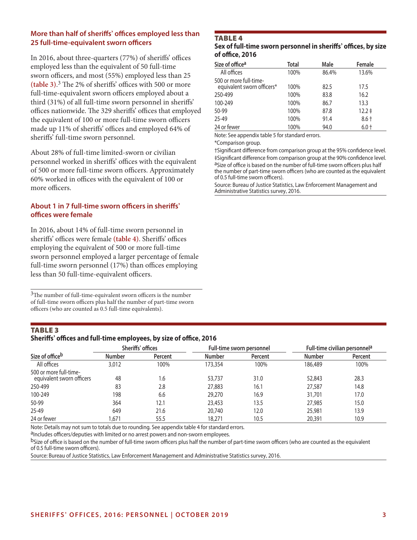# **More than half of sheriffs' offices employed less than 25 full-time-equivalent sworn officers**

In 2016, about three-quarters (77%) of sheriffs' offices employed less than the equivalent of 50 full-time sworn officers, and most (55%) employed less than 25 **(table 3)**. 3 The 2% of sheriffs' offices with 500 or more full-time-equivalent sworn officers employed about a third (31%) of all full-time sworn personnel in sheriffs' offices nationwide. The 329 sheriffs' offices that employed the equivalent of 100 or more full-time sworn officers made up 11% of sheriffs' offices and employed 64% of sheriffs' full-time sworn personnel.

About 28% of full-time limited-sworn or civilian personnel worked in sheriffs' offices with the equivalent of 500 or more full-time sworn officers. Approximately 60% worked in offices with the equivalent of 100 or more officers.

# **About 1 in 7 full-time sworn officers in sheriffs' offices were female**

In 2016, about 14% of full-time sworn personnel in sheriffs' offices were female **(table 4)**. Sheriffs' offices employing the equivalent of 500 or more full-time sworn personnel employed a larger percentage of female full-time sworn personnel (17%) than offices employing less than 50 full-time-equivalent officers.

 $3$ The number of full-time-equivalent sworn officers is the number of full-time sworn officers plus half the number of part-time sworn officers (who are counted as 0.5 full-time equivalents).

#### TABLe 4 **Sex of full-time sworn personnel in sheriffs' offices, by size of office, 2016**

| Size of office <sup>a</sup>                          | Total | Male  | Female     |
|------------------------------------------------------|-------|-------|------------|
| All offices                                          | 100%  | 86.4% | 13.6%      |
| 500 or more full-time-<br>equivalent sworn officers* | 100%  | 82.5  | 17.5       |
| 250-499                                              | 100%  | 83.8  | 16.2       |
| 100-249                                              | 100%  | 86.7  | 13.3       |
| 50-99                                                | 100%  | 87.8  | $12.2 \pm$ |
| $25 - 49$                                            | 100%  | 91.4  | $8.6 +$    |
| 24 or fewer                                          | 100%  | 94.0  | $6.0 +$    |

Note: See appendix table 5 for standard errors.

\*Comparison group.

†Significant difference from comparison group at the 95% confidence level. ‡Significant difference from comparison group at the 90% confidence level. aSize of office is based on the number of full-time sworn officers plus half the number of part-time sworn officers (who are counted as the equivalent of 0.5 full-time sworn officers).

Source: Bureau of Justice Statistics, Law Enforcement Management and Administrative Statistics survey, 2016.

| <b>TABLE 3</b>                                                     |  |
|--------------------------------------------------------------------|--|
| Sheriffs' offices and full-time employees, by size of office, 2016 |  |

|                                                     |               | Sheriffs' offices |               | Full-time sworn personnel | Full-time civilian personnel <sup>a</sup> |         |
|-----------------------------------------------------|---------------|-------------------|---------------|---------------------------|-------------------------------------------|---------|
| Size of office <sup>b</sup>                         | <b>Number</b> | <b>Percent</b>    | <b>Number</b> | <b>Percent</b>            | <b>Number</b>                             | Percent |
| All offices                                         | 3,012         | 100%              | 173,354       | 100%                      | 186.489                                   | 100%    |
| 500 or more full-time-<br>equivalent sworn officers | 48            | 1.6               | 53,737        | 31.0                      | 52,843                                    | 28.3    |
| 250-499                                             | 83            | 2.8               | 27,883        | 16.1                      | 27,587                                    | 14.8    |
| 100-249                                             | 198           | 6.6               | 29,270        | 16.9                      | 31,701                                    | 17.0    |
| 50-99                                               | 364           | 12.1              | 23,453        | 13.5                      | 27,985                                    | 15.0    |
| 25-49                                               | 649           | 21.6              | 20,740        | 12.0                      | 25,981                                    | 13.9    |
| 24 or fewer                                         | .671          | 55.5              | 18,271        | 10.5                      | 20,391                                    | 10.9    |

Note: Details may not sum to totals due to rounding. See appendix table 4 for standard errors.

aIncludes officers/deputies with limited or no arrest powers and non-sworn employees.

bSize of office is based on the number of full-time sworn officers plus half the number of part-time sworn officers (who are counted as the equivalent of 0.5 full-time sworn officers).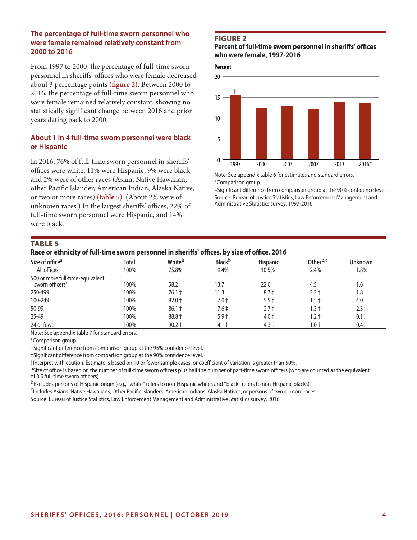#### **The percentage of full-time sworn personnel who were female remained relatively constant from 2000 to 2016**

From 1997 to 2000, the percentage of full-time sworn personnel in sheriffs' offices who were female decreased about 3 percentage points **(figure 2)**. Between 2000 to 2016, the percentage of full-time sworn personnel who were female remained relatively constant, showing no statistically significant change between 2016 and prior years dating back to 2000.

# **About 1 in 4 full-time sworn personnel were black or Hispanic**

In 2016, 76% of full-time sworn personnel in sheriffs' offices were white, 11% were Hispanic, 9% were black, and 2% were of other races (Asian, Native Hawaiian, other Pacific Islander, American Indian, Alaska Native, or two or more races) **(table 5)**. (About 2% were of unknown races.) In the largest sheriffs' offices, 22% of full-time sworn personnel were Hispanic, and 14% were black.

# Figure 2

#### **Percent of full-time sworn personnel in sheriffs' offices who were female, 1997-2016**



Note: See appendix table 6 for estimates and standard errors. \*Comparison group.

‡Significant difference from comparison group at the 90% confidence level. Source: Bureau of Justice Statistics, Law Enforcement Management and Administrative Statistics survey, 1997-2016.

#### TABLe 5

#### **Race or ethnicity of full-time sworn personnel in sheriffs' offices, by size of office, 2016**

| Size of office <sup>a</sup>                         | <b>Total</b> | Whiteb   | <b>Black</b> b | <b>Hispanic</b> | Other <sup>b,c</sup> | Unknown |
|-----------------------------------------------------|--------------|----------|----------------|-----------------|----------------------|---------|
| All offices                                         | 100%         | 75.8%    | 9.4%           | 10.5%           | 2.4%                 | $1.8\%$ |
| 500 or more full-time-equivalent<br>sworn officers* | 100%         | 58.2     | 13.7           | 22.0            | 4.5                  | 1.6     |
| 250-499                                             | 100%         | $76.1 +$ | 11.3           | $8.7 +$         | 2.2 t                | 1.8     |
| 100-249                                             | 100%         | $82.0 +$ | 7.0 t          | $5.5 +$         | l.5 t                | 4.0     |
| 50-99                                               | 100%         | $86.1 +$ | $7.6 \pm$      | $2.7 +$         | $1.3 +$              | 2.3!    |
| 25-49                                               | 100%         | 88.8 +   | $5.9+$         | $4.0 +$         | 1.2 †                | 0.1!    |
| 24 or fewer                                         | 100%         | $90.2 +$ | $4.1 +$        | $4.3 +$         | 1.0 t                | 0.4!    |

Note: See appendix table 7 for standard errors.

\*Comparison group.

†Significant difference from comparison group at the 95% confidence level.

‡Significant difference from comparison group at the 90% confidence level.

! Interpret with caution. Estimate is based on 10 or fewer sample cases, or coefficient of variation is greater than 50%.<br><sup>a</sup>Size of office is based on the number of full-time sworn officers plus half the number of part-ti of 0.5 full-time sworn officers).

<sup>b</sup>Excludes persons of Hispanic origin (e.g., "white" refers to non-Hispanic whites and "black" refers to non-Hispanic blacks).<br><sup>C</sup>Includes Asians, Native Hawaiians, Other Pacific Islanders, American Indians, Alaska Native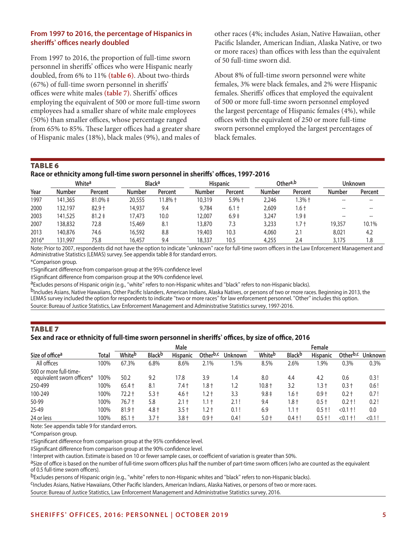# **From 1997 to 2016, the percentage of Hispanics in sheriffs' offices nearly doubled**

From 1997 to 2016, the proportion of full-time sworn personnel in sheriffs' offices who were Hispanic nearly doubled, from 6% to 11% **(table 6)**. About two-thirds (67%) of full-time sworn personnel in sheriffs' offices were white males **(table 7)**. Sheriffs' offices employing the equivalent of 500 or more full-time sworn employees had a smaller share of white male employees (50%) than smaller offices, whose percentage ranged from 65% to 85%. These larger offices had a greater share of Hispanic males (18%), black males (9%), and males of other races (4%; includes Asian, Native Hawaiian, other Pacific Islander, American Indian, Alaska Native, or two or more races) than offices with less than the equivalent of 50 full-time sworn did.

About 8% of full-time sworn personnel were white females, 3% were black females, and 2% were Hispanic females. Sheriffs' offices that employed the equivalent of 500 or more full-time sworn personnel employed the largest percentage of Hispanic females (4%), while offices with the equivalent of 250 or more full-time sworn personnel employed the largest percentages of black females.

#### TABLe 6

#### **Race or ethnicity among full-time sworn personnel in sheriffs' offices, 1997-2016**

|         |               | White <sup>a</sup> |        | <b>Black<sup>a</sup></b> |               | Other <sup>a,b</sup><br><b>Hispanic</b> |               |          | <b>Unknown</b> |         |
|---------|---------------|--------------------|--------|--------------------------|---------------|-----------------------------------------|---------------|----------|----------------|---------|
| Year    | <b>Number</b> | Percent            | Number | Percent                  | <b>Number</b> | Percent                                 | <b>Number</b> | Percent  | <b>Number</b>  | Percent |
| 1997    | 141,365       | $81.0\% \pm$       | 20,555 | 11.8% †                  | 10.319        | $5.9%$ †                                | 2,246         | $1.3%$ t |                |         |
| 2000    | 132,197       | $82.9 +$           | 14.937 | 9.4                      | 9,784         | $6.1+$                                  | 2,609         | l.6 t    |                |         |
| 2003    | 141.525       | $81.2 \pm$         | 17.473 | 10.0                     | 12,007        | $6.9+$                                  | 3,247         | 1.9‡     |                |         |
| 2007    | 138,832       | 72.8               | 15,469 | 8.1                      | 13.870        | 7.3                                     | 3,233         | .7 t     | 19,357         | 10.1%   |
| 2013    | 140,876       | 74.6               | 16.592 | 8.8                      | 19,403        | 10.3                                    | 4,060         | 2.1      | 8,021          | 4.2     |
| $2016*$ | 131,997       | 75.8               | 16.457 | 9.4                      | 18.337        | 10.5                                    | 4,255         | 2.4      | 3,175          | 1.8     |

Note: Prior to 2007, respondents did not have the option to indicate "unknown" race for full-time sworn officers in the Law Enforcement Management and Administrative Statistics (LEMAS) survey. See appendix table 8 for standard errors.

\*Comparison group.

†Significant difference from comparison group at the 95% confidence level

‡Significant difference from comparison group at the 90% confidence level.

aExcludes persons of Hispanic origin (e.g., "white" refers to non-Hispanic whites and "black" refers to non-Hispanic blacks).

bIncludes Asians, Native Hawaiians, Other Pacific Islanders, American Indians, Alaska Natives, or persons of two or more races. Beginning in 2013, the LEMAS survey included the option for respondents to indicate "two or more races" for law enforcement personnel. "Other" includes this option. Source: Bureau of Justice Statistics, Law Enforcement Management and Administrative Statistics survey, 1997-2016.

# TABLe 7

#### **Sex and race or ethnicity of full-time sworn personnel in sheriffs' offices, by size of office, 2016**

|                                                      |              | Male               |                |                 |                      |         |           | Female         |                 |                      |           |
|------------------------------------------------------|--------------|--------------------|----------------|-----------------|----------------------|---------|-----------|----------------|-----------------|----------------------|-----------|
| Size of office <sup>a</sup>                          | <b>Total</b> | White <sup>b</sup> | <b>Black</b> b | <b>Hispanic</b> | Other <sup>b,c</sup> | Unknown | Whiteb    | <b>Black</b> b | <b>Hispanic</b> | Other <sup>b,c</sup> | Unknown   |
| All offices                                          | 100%         | 67.3%              | 6.8%           | 8.6%            | 2.1%                 | .5%     | 8.5%      | 2.6%           | $.9\%$          | 0.3%                 | 0.3%      |
| 500 or more full-time-<br>equivalent sworn officers* | 00%          | 50.2               | 9.2            | 17.8            | 3.9                  | . 4     | 8.0       | 4.4            | 4.2             | 0.6                  | 0.3!      |
| 250-499                                              | 100%         | $65.4 +$           | 8.1            | 7.4 t           | ا 8.،                | 1.2     | 10.8 †    | 3.2            | .3 †            | 0.3 t                | 0.6!      |
| 100-249                                              | 100%         | $72.2 +$           | $5.3 +$        | 4.6 †           | $.2 +$               | 3.3     | $9.8 \pm$ | 1.6 t          | $0.9+$          | $0.2 +$              | 0.7!      |
| 50-99                                                | 100%         | $76.7 +$           | 5.8            | 2.1 t           | $1.1 +$              | 2.1 !   | 9.4       | 1.8†           | $0.5 +$         | $0.2 + 1$            | 0.2!      |
| 25-49                                                | 100%         | $81.9 +$           | $4.8 +$        | $3.5 +$         | $.2 +$               | 0.1 !   | 6.9       | $1.1 +$        | $0.5 + !$       | $< 0.1 + 1$          | 0.0       |
| 24 or less                                           | 100%         | $85.1 +$           | 3.7 t          | $3.8 +$         | $0.9 +$              | 0.4 !   | $5.0 +$   | $0.4 + !$      | $0.5 + !$       | < 0.1<br>' † !       | $< 0.1$ ! |

Note: See appendix table 9 for standard errors.

\*Comparison group.

†Significant difference from comparison group at the 95% confidence level.

‡Significant difference from comparison group at the 90% confidence level.

! Interpret with caution. Estimate is based on 10 or fewer sample cases, or coefficient of variation is greater than 50%.<br><sup>a</sup>Size of office is based on the number of full-time sworn officers plus half the number of part-ti of 0.5 full-time sworn officers).

<sup>b</sup>Excludes persons of Hispanic origin (e.g., "white" refers to non-Hispanic whites and "black" refers to non-Hispanic blacks).<br><sup>C</sup>Includes Asians, Native Hawaiians, Other Pacific Islanders, American Indians, Alaska Native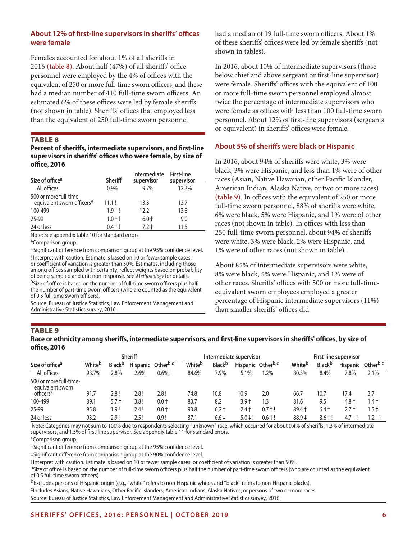# **About 12% of first-line supervisors in sheriffs' offices were female**

Females accounted for about 1% of all sheriffs in 2016 **(table 8)**. About half (47%) of all sheriffs' office personnel were employed by the 4% of offices with the equivalent of 250 or more full-time sworn officers, and these had a median number of 410 full-time sworn officers. An estimated 6% of these offices were led by female sheriffs (not shown in table). Sheriffs' offices that employed less than the equivalent of 250 full-time sworn personnel

#### TABLe 8

#### **Percent of sheriffs, intermediate supervisors, and first-line supervisors in sheriffs' offices who were female, by size of office, 2016**

| Size of office <sup>a</sup>                          | <b>Sheriff</b> | <b>Intermediate</b><br>supervisor | <b>First-line</b><br>supervisor |
|------------------------------------------------------|----------------|-----------------------------------|---------------------------------|
| All offices                                          | 0.9%           | 9.7%                              | 12.3%                           |
| 500 or more full-time-<br>equivalent sworn officers* | 11.1!          | 13.3                              | 13.7                            |
| 100-499                                              | $1.9 + !$      | 12.2                              | 13.8                            |
| 25-99                                                | $1.0 + !$      | $6.0 +$                           | 9.0                             |
| 24 or less                                           | $0.4 + !$      | $7.2 +$                           | 11.5                            |

Note: See appendix table 10 for standard errors. \*Comparison group.

†Significant difference from comparison group at the 95% confidence level. ! Interpret with caution. Estimate is based on 10 or fewer sample cases, or coefficient of variation is greater than 50%. Estimates, including those among offices sampled with certainty, reflect weights based on probability of being sampled and unit non-response. See *Methodology* for details. <sup>a</sup>Size of office is based on the number of full-time sworn officers plus half the number of part-time sworn officers (who are counted as the equivalent of 0.5 full-time sworn officers).

Source: Bureau of Justice Statistics, Law Enforcement Management and Administrative Statistics survey, 2016.

had a median of 19 full-time sworn officers. About 1% of these sheriffs' offices were led by female sheriffs (not shown in tables).

In 2016, about 10% of intermediate supervisors (those below chief and above sergeant or first-line supervisor) were female. Sheriffs' offices with the equivalent of 100 or more full-time sworn personnel employed almost twice the percentage of intermediate supervisors who were female as offices with less than 100 full-time sworn personnel. About 12% of first-line supervisors (sergeants or equivalent) in sheriffs' offices were female.

# **About 5% of sheriffs were black or Hispanic**

In 2016, about 94% of sheriffs were white, 3% were black, 3% were Hispanic, and less than 1% were of other races (Asian, Native Hawaiian, other Pacific Islander, American Indian, Alaska Native, or two or more races) **(table 9)**. In offices with the equivalent of 250 or more full-time sworn personnel, 88% of sheriffs were white, 6% were black, 5% were Hispanic, and 1% were of other races (not shown in table). In offices with less than 250 full-time sworn personnel, about 94% of sheriffs were white, 3% were black, 2% were Hispanic, and 1% were of other races (not shown in table).

About 85% of intermediate supervisors were white, 8% were black, 5% were Hispanic, and 1% were of other races. Sheriffs' offices with 500 or more full-timeequivalent sworn employees employed a greater percentage of Hispanic intermediate supervisors (11%) than smaller sheriffs' offices did.

#### TABLe 9

#### **Race or ethnicity among sheriffs, intermediate supervisors, and first-line supervisors in sheriffs' offices, by size of office, 2016**

|                                            | <b>Sheriff</b> |                           |                 | Intermediate supervisor |                    |                           | <b>First-line supervisor</b> |                               |         |                           |                 |                      |
|--------------------------------------------|----------------|---------------------------|-----------------|-------------------------|--------------------|---------------------------|------------------------------|-------------------------------|---------|---------------------------|-----------------|----------------------|
| Size of office <sup>a</sup>                | Whiteb         | <b>Black</b> <sup>b</sup> | <b>Hispanic</b> | Other <sup>b,c</sup>    | White <sup>b</sup> | <b>Black</b> <sup>b</sup> |                              | Hispanic Other <sup>b,c</sup> | Whiteb  | <b>Black</b> <sup>b</sup> | <b>Hispanic</b> | Other <sup>b,c</sup> |
| All offices                                | 93.7%          | ?.8%                      | 2.6%            | $0.6\%$ !               | 84.6%              | 7.9%                      | 5.1%                         | $.2\%$                        | 80.3%   | 8.4%                      | 7.8%            | 2.1%                 |
| 500 or more full-time-<br>equivalent sworn |                |                           |                 |                         |                    |                           |                              |                               |         |                           |                 |                      |
| officers*                                  | 91.7           | 2.8 !                     | 2.8 !           | 2.8!                    | 74.8               | 10.8                      | 10.9                         | 2.0                           | 66.7    | 10.7                      | 17.4            | 3.7                  |
| 100-499                                    | 89.1           | $5.7 \pm$                 | 3.8 !           | $0.0 +$                 | 83.7               | 8.2                       | $3.9+$                       | .3                            | 81.6    | 9.5                       | 4.8 t           | 1.4 †                |
| 25-99                                      | 95.8           | ! 9.ا                     | 2.4 !           | $0.0 +$                 | 90.8               | $6.2 +$                   | 2.4 t                        | $0.7 + 1$                     | 89.4 +  | $6.4+$                    | 2.7 t           | 1.5‡                 |
| 24 or less                                 | 93.2           | 2.9 !                     | 2.5!            | 0.9!                    | 87.1               | $6.6 \pm$                 | $5.0 \pm 1$                  | $0.6 + !$                     | $88.9+$ | $3.6 +$                   | $4.7 + !$       | $1.2 +$              |

 Note: Categories may not sum to 100% due to respondents selecting "unknown" race, which occurred for about 0.4% of sheriffs, 1.3% of intermediate supervisors, and 1.5% of first-line supervisor. See appendix table 11 for standard errors.

\*Comparison group.

†Significant difference from comparison group at the 95% confidence level.

‡Significant difference from comparison group at the 90% confidence level.

! Interpret with caution. Estimate is based on 10 or fewer sample cases, or coefficient of variation is greater than 50%.<br><sup>a</sup>Size of office is based on the number of full-time sworn officers plus half the number of part-ti of 0.5 full-time sworn officers).

<sup>b</sup>Excludes persons of Hispanic origin (e.g., "white" refers to non-Hispanic whites and "black" refers to non-Hispanic blacks).<br><sup>C</sup>Includes Asians, Native Hawaiians, Other Pacific Islanders, American Indians, Alaska Native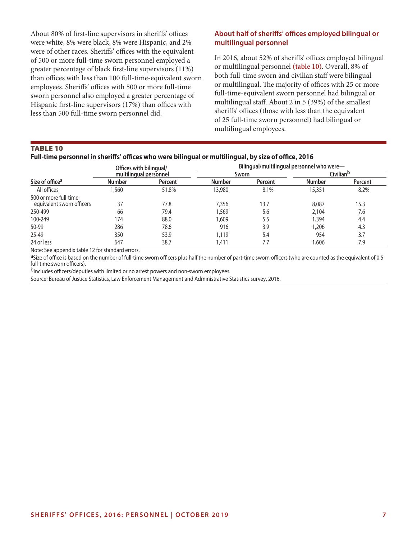About 80% of first-line supervisors in sheriffs' offices were white, 8% were black, 8% were Hispanic, and 2% were of other races. Sheriffs' offices with the equivalent of 500 or more full-time sworn personnel employed a greater percentage of black first-line supervisors (11%) than offices with less than 100 full-time-equivalent sworn employees. Sheriffs' offices with 500 or more full-time sworn personnel also employed a greater percentage of Hispanic first-line supervisors (17%) than offices with less than 500 full-time sworn personnel did.

#### **About half of sheriffs' offices employed bilingual or multilingual personnel**

In 2016, about 52% of sheriffs' offices employed bilingual or multilingual personnel **(table 10)**. Overall, 8% of both full-time sworn and civilian staff were bilingual or multilingual. The majority of offices with 25 or more full-time-equivalent sworn personnel had bilingual or multilingual staff. About 2 in 5 (39%) of the smallest sheriffs' offices (those with less than the equivalent of 25 full-time sworn personnel) had bilingual or multilingual employees.

#### TABLe 10

# **Full-time personnel in sheriffs' offices who were bilingual or multilingual, by size of office, 2016**

|                                                     | Offices with bilingual/ |         | Bilingual/multilingual personnel who were- |         |               |                       |  |  |
|-----------------------------------------------------|-------------------------|---------|--------------------------------------------|---------|---------------|-----------------------|--|--|
|                                                     | multilingual personnel  |         | Sworn                                      |         |               | Civilian <sup>b</sup> |  |  |
| Size of office <sup>a</sup>                         | <b>Number</b>           | Percent | <b>Number</b>                              | Percent | <b>Number</b> | Percent               |  |  |
| All offices                                         | ,560                    | 51.8%   | 13.980                                     | 8.1%    | 15,351        | 8.2%                  |  |  |
| 500 or more full-time-<br>equivalent sworn officers | 37                      | 77.8    | 7,356                                      | 13.7    | 8,087         | 15.3                  |  |  |
| 250-499                                             | 66                      | 79.4    | 1,569                                      | 5.6     | 2,104         | 7.6                   |  |  |
| 100-249                                             | 174                     | 88.0    | 1,609                                      | 5.5     | 1,394         | 4.4                   |  |  |
| 50-99                                               | 286                     | 78.6    | 916                                        | 3.9     | 1.206         | 4.3                   |  |  |
| 25-49                                               | 350                     | 53.9    | 1,119                                      | 5.4     | 954           | 3.7                   |  |  |
| 24 or less                                          | 647                     | 38.7    | 1.411                                      | 7.7     | .606          | 7.9                   |  |  |

Note: See appendix table 12 for standard errors.

aSize of office is based on the number of full-time sworn officers plus half the number of part-time sworn officers (who are counted as the equivalent of 0.5 full-time sworn officers).

bIncludes officers/deputies with limited or no arrest powers and non-sworn employees.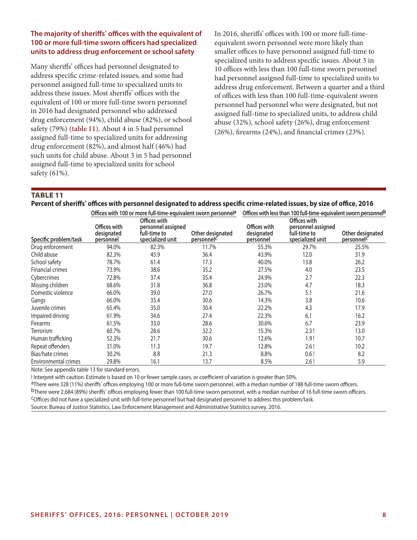# **The majority of sheriffs' offices with the equivalent of 100 or more full-time sworn officers had specialized units to address drug enforcement or school safety**

Many sheriffs' offices had personnel designated to address specific crime-related issues, and some had personnel assigned full-time to specialized units to address these issues. Most sheriffs' offices with the equivalent of 100 or more full-time sworn personnel in 2016 had designated personnel who addressed drug enforcement (94%), child abuse (82%), or school safety (79%) **(table 11)**. About 4 in 5 had personnel assigned full-time to specialized units for addressing drug enforcement (82%), and almost half (46%) had such units for child abuse. About 3 in 5 had personnel assigned full-time to specialized units for school safety (61%).

In 2016, sheriffs' offices with 100 or more full-timeequivalent sworn personnel were more likely than smaller offices to have personnel assigned full-time to specialized units to address specific issues. About 3 in 10 offices with less than 100 full-time sworn personnel had personnel assigned full-time to specialized units to address drug enforcement. Between a quarter and a third of offices with less than 100 full-time-equivalent sworn personnel had personnel who were designated, but not assigned full-time to specialized units, to address child abuse (32%), school safety (26%), drug enforcement (26%), firearms (24%), and financial crimes (23%).

#### TABLe 11

| Percent of sheriffs' offices with personnel designated to address specific crime-related issues, by size of office, 2016 |  |  |  |
|--------------------------------------------------------------------------------------------------------------------------|--|--|--|
|--------------------------------------------------------------------------------------------------------------------------|--|--|--|

|                             |                                         | Offices with 100 or more full-time-equivalent sworn personnel <sup>a</sup> |                                | Offices with less than 100 full-time-equivalent sworn personnel <sup>b</sup> |                                                                        |                                |
|-----------------------------|-----------------------------------------|----------------------------------------------------------------------------|--------------------------------|------------------------------------------------------------------------------|------------------------------------------------------------------------|--------------------------------|
| Specific problem/task       | Offices with<br>designated<br>personnel | Offices with<br>personnel assigned<br>full-time to<br>specialized unit     | Other designated<br>personnelc | Offices with<br>designated<br>personnel                                      | Offices with<br>personnel assigned<br>full-time to<br>specialized unit | Other designated<br>personnelc |
| Drug enforcement            | 94.0%                                   | 82.3%                                                                      | 11.7%                          | 55.3%                                                                        | 29.7%                                                                  | 25.5%                          |
| Child abuse                 | 82.3%                                   | 45.9                                                                       | 36.4                           | 43.9%                                                                        | 12.0                                                                   | 31.9                           |
| School safety               | 78.7%                                   | 61.4                                                                       | 17.3                           | 40.0%                                                                        | 13.8                                                                   | 26.2                           |
| <b>Financial crimes</b>     | 73.9%                                   | 38.6                                                                       | 35.2                           | 27.5%                                                                        | 4.0                                                                    | 23.5                           |
| Cybercrimes                 | 72.8%                                   | 37.4                                                                       | 35.4                           | 24.9%                                                                        | 2.7                                                                    | 22.3                           |
| Missing children            | 68.6%                                   | 31.8                                                                       | 36.8                           | 23.0%                                                                        | 4.7                                                                    | 18.3                           |
| Domestic violence           | 66.0%                                   | 39.0                                                                       | 27.0                           | 26.7%                                                                        | 5.1                                                                    | 21.6                           |
| Gangs                       | 66.0%                                   | 35.4                                                                       | 30.6                           | 14.3%                                                                        | 3.8                                                                    | 10.6                           |
| Juvenile crimes             | 65.4%                                   | 35.0                                                                       | 30.4                           | 22.2%                                                                        | 4.3                                                                    | 17.9                           |
| Impaired driving            | 61.9%                                   | 34.6                                                                       | 27.4                           | 22.3%                                                                        | 6.1                                                                    | 16.2                           |
| <b>Firearms</b>             | 61.5%                                   | 33.0                                                                       | 28.6                           | 30.6%                                                                        | 6.7                                                                    | 23.9                           |
| <b>Terrorism</b>            | 60.7%                                   | 28.6                                                                       | 32.2                           | 15.3%                                                                        | 2.3!                                                                   | 13.0                           |
| Human trafficking           | 52.3%                                   | 21.7                                                                       | 30.6                           | 12.6%                                                                        | 1.9!                                                                   | 10.7                           |
| Repeat offenders            | 31.0%                                   | 11.3                                                                       | 19.7                           | 12.8%                                                                        | 2.6!                                                                   | 10.2                           |
| Bias/hate crimes            | 30.2%                                   | 8.8                                                                        | 21.3                           | 8.8%                                                                         | 0.6!                                                                   | 8.2                            |
| <b>Environmental crimes</b> | 29.8%                                   | 16.1                                                                       | 13.7                           | 8.5%                                                                         | 2.6!                                                                   | 5.9                            |

Note: See appendix table 13 for standard errors.

! Interpret with caution. Estimate is based on 10 or fewer sample cases, or coefficient of variation is greater than 50%.<br><sup>a</sup>There were 328 (11%) sheriffs' offices employing 100 or more full-time sworn personnel, with a me bThere were 2,684 (89%) sheriffs' offices employing fewer than 100 full-time sworn personnel, with a median number of 16 full-time sworn officers.<br><sup>C</sup>Offices did not have a specialized unit with full-time personnel but had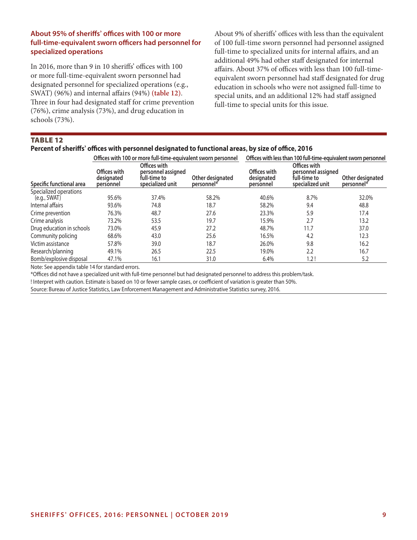# **About 95% of sheriffs' offices with 100 or more full-time-equivalent sworn officers had personnel for specialized operations**

In 2016, more than 9 in 10 sheriffs' offices with 100 or more full-time-equivalent sworn personnel had designated personnel for specialized operations (e.g., SWAT) (96%) and internal affairs (94%) **(table 12)**. Three in four had designated staff for crime prevention (76%), crime analysis (73%), and drug education in schools (73%).

About 9% of sheriffs' offices with less than the equivalent of 100 full-time sworn personnel had personnel assigned full-time to specialized units for internal affairs, and an additional 49% had other staff designated for internal affairs. About 37% of offices with less than 100 full-timeequivalent sworn personnel had staff designated for drug education in schools who were not assigned full-time to special units, and an additional 12% had staff assigned full-time to special units for this issue.

# TABLe 12

#### **Percent of sheriffs' offices with personnel designated to functional areas, by size of office, 2016**

|                           |                                         | Offices with 100 or more full-time-equivalent sworn personnel          |                                | Offices with less than 100 full-time-equivalent sworn personnel |                                                                        |                                |  |
|---------------------------|-----------------------------------------|------------------------------------------------------------------------|--------------------------------|-----------------------------------------------------------------|------------------------------------------------------------------------|--------------------------------|--|
| Specific functional area  | Offices with<br>designated<br>personnel | Offices with<br>personnel assigned<br>full-time to<br>specialized unit | Other designated<br>personnel* | Offices with<br>designated<br>personnel                         | Offices with<br>personnel assigned<br>full-time to<br>specialized unit | Other designated<br>personnel* |  |
| Specialized operations    |                                         |                                                                        |                                |                                                                 |                                                                        |                                |  |
| (e.g., SWAT)              | 95.6%                                   | 37.4%                                                                  | 58.2%                          | 40.6%                                                           | 8.7%                                                                   | 32.0%                          |  |
| Internal affairs          | 93.6%                                   | 74.8                                                                   | 18.7                           | 58.2%                                                           | 9.4                                                                    | 48.8                           |  |
| Crime prevention          | 76.3%                                   | 48.7                                                                   | 27.6                           | 23.3%                                                           | 5.9                                                                    | 17.4                           |  |
| Crime analysis            | 73.2%                                   | 53.5                                                                   | 19.7                           | 15.9%                                                           | 2.7                                                                    | 13.2                           |  |
| Drug education in schools | 73.0%                                   | 45.9                                                                   | 27.2                           | 48.7%                                                           | 11.7                                                                   | 37.0                           |  |
| Community policing        | 68.6%                                   | 43.0                                                                   | 25.6                           | 16.5%                                                           | 4.2                                                                    | 12.3                           |  |
| Victim assistance         | 57.8%                                   | 39.0                                                                   | 18.7                           | 26.0%                                                           | 9.8                                                                    | 16.2                           |  |
| Research/planning         | 49.1%                                   | 26.5                                                                   | 22.5                           | 19.0%                                                           | 2.2                                                                    | 16.7                           |  |
| Bomb/explosive disposal   | 47.1%                                   | 16.1                                                                   | 31.0                           | 6.4%                                                            | 1.2!                                                                   | 5.2                            |  |

Note: See appendix table 14 for standard errors.

\*Offices did not have a specialized unit with full-time personnel but had designated personnel to address this problem/task.

! Interpret with caution. Estimate is based on 10 or fewer sample cases, or coefficient of variation is greater than 50%.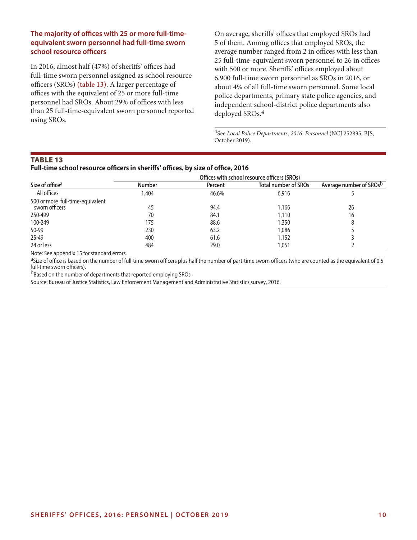# **The majority of offices with 25 or more full-timeequivalent sworn personnel had full-time sworn school resource officers**

In 2016, almost half (47%) of sheriffs' offices had full-time sworn personnel assigned as school resource officers (SROs) **(table 13)**. A larger percentage of offices with the equivalent of 25 or more full-time personnel had SROs. About 29% of offices with less than 25 full-time-equivalent sworn personnel reported using SROs.

On average, sheriffs' offices that employed SROs had 5 of them. Among offices that employed SROs, the average number ranged from 2 in offices with less than 25 full-time-equivalent sworn personnel to 26 in offices with 500 or more. Sheriffs' offices employed about 6,900 full-time sworn personnel as SROs in 2016, or about 4% of all full-time sworn personnel. Some local police departments, primary state police agencies, and independent school-district police departments also deployed SROs.4

4See *Local Police Departments, 2016: Personnel* (NCJ 252835, BJS, October 2019).

#### TABLe 13

#### **Full-time school resource officers in sheriffs' offices, by size of office, 2016**

|                                  | Offices with school resource officers (SROs) |                |                             |                         |  |  |  |
|----------------------------------|----------------------------------------------|----------------|-----------------------------|-------------------------|--|--|--|
| Size of office <sup>a</sup>      | <b>Number</b>                                | <b>Percent</b> | <b>Total number of SROs</b> | Average number of SROsb |  |  |  |
| All offices                      | .404                                         | 46.6%          | 6,916                       |                         |  |  |  |
| 500 or more full-time-equivalent |                                              |                |                             |                         |  |  |  |
| sworn officers                   | 45                                           | 94.4           | 1,166                       | 26                      |  |  |  |
| 250-499                          | 70                                           | 84.1           | 1,110                       | 16                      |  |  |  |
| 100-249                          | 175                                          | 88.6           | 1,350                       | 8                       |  |  |  |
| 50-99                            | 230                                          | 63.2           | 1,086                       |                         |  |  |  |
| 25-49                            | 400                                          | 61.6           | 1,152                       |                         |  |  |  |
| 24 or less                       | 484                                          | 29.0           | 1.051                       |                         |  |  |  |

Note: See appendix 15 for standard errors.

aSize of office is based on the number of full-time sworn officers plus half the number of part-time sworn officers (who are counted as the equivalent of 0.5 full-time sworn officers).

bBased on the number of departments that reported employing SROs.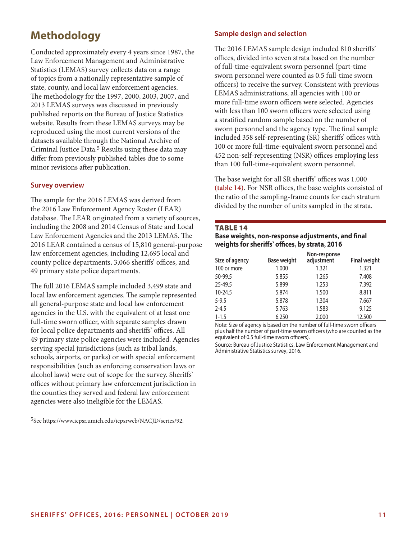# **Methodology**

Conducted approximately every 4 years since 1987, the Law Enforcement Management and Administrative Statistics (LEMAS) survey collects data on a range of topics from a nationally representative sample of state, county, and local law enforcement agencies. The methodology for the 1997, 2000, 2003, 2007, and 2013 LEMAS surveys was discussed in previously published reports on the Bureau of Justice Statistics website. Results from these LEMAS surveys may be reproduced using the most current versions of the datasets available through the National Archive of Criminal Justice Data.<sup>5</sup> Results using these data may differ from previously published tables due to some minor revisions after publication.

# **Survey overview**

The sample for the 2016 LEMAS was derived from the 2016 Law Enforcement Agency Roster (LEAR) database. The LEAR originated from a variety of sources, including the 2008 and 2014 Census of State and Local Law Enforcement Agencies and the 2013 LEMAS. The 2016 LEAR contained a census of 15,810 general-purpose law enforcement agencies, including 12,695 local and county police departments, 3,066 sheriffs' offices, and 49 primary state police departments.

The full 2016 LEMAS sample included 3,499 state and local law enforcement agencies. The sample represented all general-purpose state and local law enforcement agencies in the U.S. with the equivalent of at least one full-time sworn officer, with separate samples drawn for local police departments and sheriffs' offices. All 49 primary state police agencies were included. Agencies serving special jurisdictions (such as tribal lands, schools, airports, or parks) or with special enforcement responsibilities (such as enforcing conservation laws or alcohol laws) were out of scope for the survey. Sheriffs' offices without primary law enforcement jurisdiction in the counties they served and federal law enforcement agencies were also ineligible for the LEMAS.

5See https://www.icpsr.umich.edu/icpsrweb/NACJD/series/92.

# **Sample design and selection**

The 2016 LEMAS sample design included 810 sheriffs' offices, divided into seven strata based on the number of full-time-equivalent sworn personnel (part-time sworn personnel were counted as 0.5 full-time sworn officers) to receive the survey. Consistent with previous LEMAS administrations, all agencies with 100 or more full-time sworn officers were selected. Agencies with less than 100 sworn officers were selected using a stratified random sample based on the number of sworn personnel and the agency type. The final sample included 358 self-representing (SR) sheriffs' offices with 100 or more full-time-equivalent sworn personnel and 452 non-self-representing (NSR) offices employing less than 100 full-time-equivalent sworn personnel.

The base weight for all SR sheriffs' offices was 1.000 **(table 14)**. For NSR offices, the base weights consisted of the ratio of the sampling-frame counts for each stratum divided by the number of units sampled in the strata.

#### TABLe 14

# **Base weights, non-response adjustments, and final weights for sheriffs' offices, by strata, 2016**

| Size of agency | Base weight | Non-response<br>adjustment | <b>Final weight</b> |
|----------------|-------------|----------------------------|---------------------|
| 100 or more    | 1.000       | 1.321                      | 1.321               |
| 50-99.5        | 5.855       | 1.265                      | 7.408               |
| 25-49.5        | 5.899       | 1.253                      | 7.392               |
| 10-24.5        | 5.874       | 1.500                      | 8.811               |
| $5 - 9.5$      | 5.878       | 1.304                      | 7.667               |
| $2 - 4.5$      | 5.763       | 1.583                      | 9.125               |
| $1 - 1.5$      | 6.250       | 2.000                      | 12.500              |

Note: Size of agency is based on the number of full-time sworn officers plus half the number of part-time sworn officers (who are counted as the equivalent of 0.5 full-time sworn officers).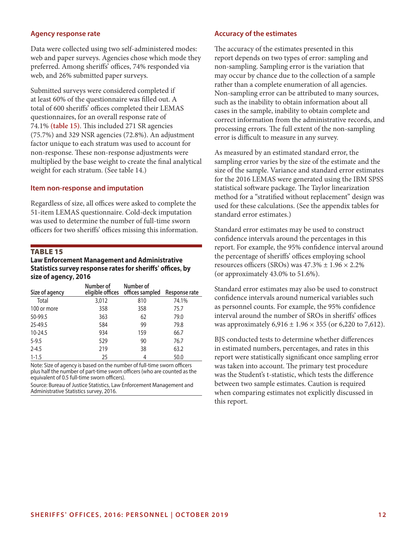#### **Agency response rate**

Data were collected using two self-administered modes: web and paper surveys. Agencies chose which mode they preferred. Among sheriffs' offices, 74% responded via web, and 26% submitted paper surveys.

Submitted surveys were considered completed if at least 60% of the questionnaire was filled out. A total of 600 sheriffs' offices completed their LEMAS questionnaires, for an overall response rate of 74.1% **(table 15)**. This included 271 SR agencies (75.7%) and 329 NSR agencies (72.8%). An adjustment factor unique to each stratum was used to account for non-response. These non-response adjustments were multiplied by the base weight to create the final analytical weight for each stratum. (See table 14.)

#### **Item non-response and imputation**

Regardless of size, all offices were asked to complete the 51-item LEMAS questionnaire. Cold-deck imputation was used to determine the number of full-time sworn officers for two sheriffs' offices missing this information.

#### TABLe 15

**Law Enforcement Management and Administrative Statistics survey response rates for sheriffs' offices, by size of agency 2016 ,**

| Size of agency | Number of | Number of<br>eligible offices offices sampled | Response rate |
|----------------|-----------|-----------------------------------------------|---------------|
| Total          | 3,012     | 810                                           | 74.1%         |
| 100 or more    | 358       | 358                                           | 75.7          |
| 50-99.5        | 363       | 62                                            | 79.0          |
| 25-49.5        | 584       | 99                                            | 79.8          |
| $10 - 24.5$    | 934       | 159                                           | 66.7          |
| $5 - 9.5$      | 529       | 90                                            | 76.7          |
| $2 - 4.5$      | 219       | 38                                            | 63.2          |
| $1 - 1.5$      | 25        | 4                                             | 50.0          |

Note: Size of agency is based on the number of full-time sworn officers plus half the number of part-time sworn officers (who are counted as the equivalent of 0.5 full-time sworn officers).

Source: Bureau of Justice Statistics, Law Enforcement Management and Administrative Statistics survey, 2016.

#### **Accuracy of the estimates**

The accuracy of the estimates presented in this report depends on two types of error: sampling and non-sampling. Sampling error is the variation that may occur by chance due to the collection of a sample rather than a complete enumeration of all agencies. Non-sampling error can be attributed to many sources, such as the inability to obtain information about all cases in the sample, inability to obtain complete and correct information from the administrative records, and processing errors. The full extent of the non-sampling error is difficult to measure in any survey.

As measured by an estimated standard error, the sampling error varies by the size of the estimate and the size of the sample. Variance and standard error estimates for the 2016 LEMAS were generated using the IBM SPSS statistical software package. The Taylor linearization method for a "stratified without replacement" design was used for these calculations. (See the appendix tables for standard error estimates.)

Standard error estimates may be used to construct confidence intervals around the percentages in this report. For example, the 95% confidence interval around the percentage of sheriffs' offices employing school resources officers (SROs) was  $47.3\% \pm 1.96 \times 2.2\%$ (or approximately 43.0% to 51.6%).

Standard error estimates may also be used to construct confidence intervals around numerical variables such as personnel counts. For example, the 95% confidence interval around the number of SROs in sheriffs' offices was approximately  $6,916 \pm 1.96 \times 355$  (or  $6,220$  to 7,612).

BJS conducted tests to determine whether differences in estimated numbers, percentages, and rates in this report were statistically significant once sampling error was taken into account. The primary test procedure was the Student's t-statistic, which tests the difference between two sample estimates. Caution is required when comparing estimates not explicitly discussed in this report.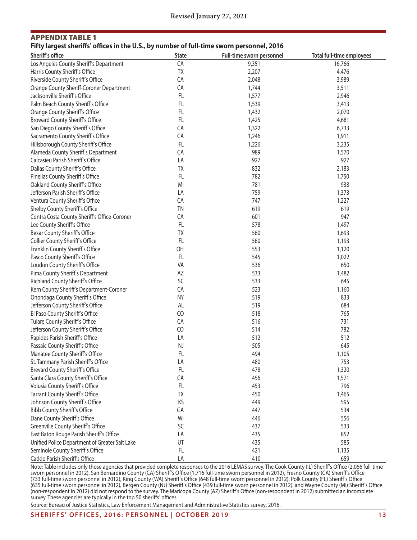# Appendix TABLe 1 **Fifty largest sheriffs' offices in the U.S., by number of full-time sworn personnel, 2016**

| Sheriff's office                               | <b>State</b> | Full-time sworn personnel | <b>Total full-time employees</b> |
|------------------------------------------------|--------------|---------------------------|----------------------------------|
| Los Angeles County Sheriff's Department        | CA           | 9,351                     | 16,766                           |
| Harris County Sheriff's Office                 | TX           | 2,207                     | 4,476                            |
| Riverside County Sheriff's Office              | CA           | 2,048                     | 3,989                            |
| Orange County Sheriff-Coroner Department       | CA           | 1,744                     | 3,511                            |
| Jacksonville Sheriff's Office                  | FL           | 1,577                     | 2,946                            |
| Palm Beach County Sheriff's Office             | FL           | 1,539                     | 3,413                            |
| Orange County Sheriff's Office                 | FL           | 1,432                     | 2,070                            |
| Broward County Sheriff's Office                | FL.          | 1,425                     | 4,681                            |
| San Diego County Sheriff's Office              | CA           | 1,322                     | 6,733                            |
| Sacramento County Sheriff's Office             | CA           | 1,246                     | 1,911                            |
| Hillsborough County Sheriff's Office           | FL           | 1,226                     | 3,235                            |
| Alameda County Sheriff's Department            | CA           | 989                       | 1,570                            |
| Calcasieu Parish Sheriff's Office              | LA           | 927                       | 927                              |
| Dallas County Sheriff's Office                 | TX           | 832                       | 2,183                            |
| Pinellas County Sheriff's Office               | FL           | 782                       | 1,750                            |
| Oakland County Sheriff's Office                | MI           | 781                       | 938                              |
| Jefferson Parish Sheriff's Office              | LA           | 759                       | 1,373                            |
| Ventura County Sheriff's Office                | CA           | 747                       | 1,227                            |
| Shelby County Sheriff's Office                 | <b>TN</b>    | 619                       | 619                              |
| Contra Costa County Sheriff's Office-Coroner   | CA           | 601                       | 947                              |
| Lee County Sheriff's Office                    | FL           | 578                       | 1,497                            |
| Bexar County Sheriff's Office                  | <b>TX</b>    | 560                       | 1,693                            |
| Collier County Sheriff's Office                | FL           | 560                       | 1,193                            |
| Franklin County Sheriff's Office               | OH           | 553                       | 1,120                            |
| Pasco County Sheriff's Office                  | FL           | 545                       | 1,022                            |
| Loudon County Sheriff's Office                 | VA           | 536                       | 650                              |
| Pima County Sheriff's Department               | AZ           | 533                       | 1,482                            |
| Richland County Sheriff's Office               | SC           | 533                       | 645                              |
| Kern County Sheriff's Department-Coroner       | CA           | 523                       | 1,160                            |
| Onondaga County Sheriff's Office               | <b>NY</b>    | 519                       | 833                              |
| Jefferson County Sheriff's Office              | AL           | 519                       | 684                              |
| El Paso County Sheriff's Office                | CO           | 518                       | 765                              |
| Tulare County Sheriff's Office                 | CA           | 516                       | 731                              |
| Jefferson County Sheriff's Office              | CO           | 514                       | 782                              |
| Rapides Parish Sheriff's Office                | LA           | 512                       | 512                              |
| Passaic County Sheriff's Office                | <b>NJ</b>    | 505                       | 645                              |
| Manatee County Sheriff's Office                | FL           | 494                       | 1,105                            |
| St. Tammany Parish Sheriff's Office            | LA           | 480                       | 753                              |
| Brevard County Sheriff's Office                | <b>FL</b>    | 478                       | 1,320                            |
| Santa Clara County Sheriff's Office            | CA           | 456                       | 1,571                            |
| Volusia County Sheriff's Office                | FL           | 453                       | 796                              |
| Tarrant County Sheriff's Office                | TX           | 450                       | 1,465                            |
| Johnson County Sheriff's Office                | KS           | 449                       | 595                              |
| <b>Bibb County Sheriff's Office</b>            | GA           | 447                       | 534                              |
| Dane County Sheriff's Office                   | WI           | 446                       | 556                              |
| Greenville County Sheriff's Office             | SC           | 437                       | 533                              |
| East Baton Rouge Parish Sheriff's Office       | LA           | 435                       | 852                              |
| Unified Police Department of Greater Salt Lake | UT           | 435                       | 585                              |
| Seminole County Sheriff's Office               | FL           | 421                       | 1,135                            |
| Caddo Parish Sheriff's Office                  | LA           | 410                       | 659                              |

Note: Table includes only those agencies that provided complete responses to the 2016 LEMAS survey. The Cook County (IL) Sheriff's Office (2,066 full-time sworn personnel in 2012), San Bernardino County (CA) Sheriff's Office (1,716 full-time sworn personnel in 2012), Fresno County (CA) Sheriff's Office (733 full-time sworn personnel in 2012), King County (WA) Sheriff's Office (648 full-time sworn personnel in 2012), Polk County (FL) Sheriff's Office (635 full-time sworn personnel in 2012), Bergen County (NJ) Sheriff's Office (439 full-time sworn personnel in 2012), and Wayne County (MI) Sheriff's Office (non-respondent in 2012) did not respond to the survey. The Maricopa County (AZ) Sheriff's Office (non-respondent in 2012) submitted an incomplete survey. These agencies are typically in the top 50 sheriffs' offices.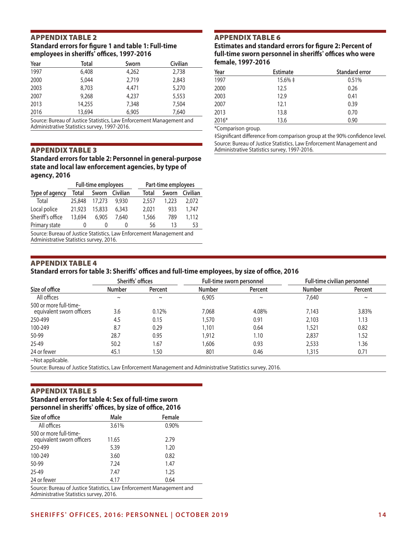#### Appendix TABLe 2 **Standard errors for figure 1 and table 1: Full-time employees in sheriffs' offices, 1997-2016**

| Year | Total  | Sworn | Civilian |
|------|--------|-------|----------|
| 1997 | 6,408  | 4,262 | 2,738    |
| 2000 | 5,044  | 2,719 | 2,843    |
| 2003 | 8,703  | 4,471 | 5,270    |
| 2007 | 9,268  | 4,237 | 5,553    |
| 2013 | 14,255 | 7,348 | 7,504    |
| 2016 | 13,694 | 6,905 | 7,640    |

Source: Bureau of Justice Statistics, Law Enforcement Management and Administrative Statistics survey, 1997-2016.

#### Appendix TABLe 3

**Standard errors for table 2: Personnel in general-purpose state and local law enforcement agencies, by type of agency, 2016**

|                                                                     | <b>Full-time employees</b> |        |          |  | Part-time employees |       |          |
|---------------------------------------------------------------------|----------------------------|--------|----------|--|---------------------|-------|----------|
| Type of agency                                                      | Total                      | Sworn  | Civilian |  | Total               | Sworn | Civilian |
| Total                                                               | 25,848                     | 17,273 | 9.930    |  | 2,557               | 1.223 | 2.072    |
| Local police                                                        | 21,923                     | 15,833 | 6.343    |  | 2,021               | 933   | 1,747    |
| Sheriff's office                                                    | 13.694                     | 6.905  | 7.640    |  | 1,566               | 789   | 1,112    |
| Primary state                                                       |                            | $\cup$ |          |  | 56                  | 13    | 53       |
| Course Pureau of Justice Ctatistics, Law Enforcement Management and |                            |        |          |  |                     |       |          |

Source: Bureau of Justice Statistics, Law Enforcement Management and Administrative Statistics survey, 2016.

# Appendix TABLe 6

**Estimates and standard errors for figure 2: Percent of full-time sworn personnel in sheriffs' offices who were female, 1997-2016**

| Year  | <b>Estimate</b> | <b>Standard error</b> |
|-------|-----------------|-----------------------|
| 1997  | $15.6\% \pm$    | 0.51%                 |
| 2000  | 12.5            | 0.26                  |
| 2003  | 12.9            | 0.41                  |
| 2007  | 12.1            | 0.39                  |
| 2013  | 13.8            | 0.70                  |
| 2016* | 13.6            | 0.90                  |

\*Comparison group.

‡Significant difference from comparison group at the 90% confidence level. Source: Bureau of Justice Statistics, Law Enforcement Management and Administrative Statistics survey, 1997-2016.

#### Appendix TABLe 4

#### **Standard errors for table 3: Sheriffs' offices and full-time employees, by size of office, 2016**

| Size of office                                      | Sheriffs' offices |         | Full-time sworn personnel |         | Full-time civilian personnel |         |
|-----------------------------------------------------|-------------------|---------|---------------------------|---------|------------------------------|---------|
|                                                     | <b>Number</b>     | Percent | <b>Number</b>             | Percent | <b>Number</b>                | Percent |
| All offices                                         | $\sim$            | $\sim$  | 6,905                     | $\sim$  | 7.640                        | $\sim$  |
| 500 or more full-time-<br>equivalent sworn officers | 3.6               | 0.12%   | 7,068                     | 4.08%   | 7,143                        | 3.83%   |
| 250-499                                             | 4.5               | 0.15    | 1,570                     | 0.91    | 2,103                        | 1.13    |
| 100-249                                             | 8.7               | 0.29    | 1,101                     | 0.64    | 1,521                        | 0.82    |
| 50-99                                               | 28.7              | 0.95    | 1,912                     | 1.10    | 2,837                        | 1.52    |
| $25 - 49$                                           | 50.2              | 1.67    | .606                      | 0.93    | 2,533                        | 1.36    |
| 24 or fewer                                         | 45.1              | 50. ا   | 801                       | 0.46    | 1.315                        | 0.71    |

~Not applicable.

Source: Bureau of Justice Statistics, Law Enforcement Management and Administrative Statistics survey, 2016.

#### Appendix TABLe 5

# **Standard errors for table 4: Sex of full-time sworn personnel in sheriffs' offices, by size of office, 2016**

| Size of office                                                       | Male  | Female |
|----------------------------------------------------------------------|-------|--------|
| All offices                                                          | 3.61% | 0.90%  |
| 500 or more full-time-<br>equivalent sworn officers                  | 11.65 | 2.79   |
| 250-499                                                              | 5.39  | 1.20   |
| 100-249                                                              | 3.60  | 0.82   |
| 50-99                                                                | 7.24  | 1.47   |
| 25-49                                                                | 7.47  | 1.25   |
| 24 or fewer                                                          | 4.17  | 0.64   |
| Source: Bureau of Justice Statistics, Law Enforcement Management and |       |        |

Administrative Statistics survey, 2016.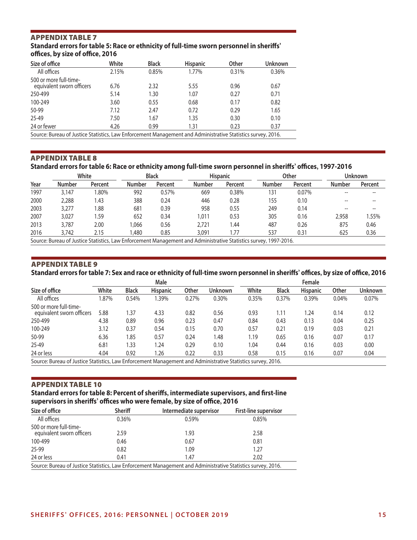# Appendix TABLe 7

**Standard errors for table 5: Race or ethnicity of full-time sworn personnel in sheriffs' offices, by size of office, 2016**

| Size of office                                                                                            | White | <b>Black</b> | <b>Hispanic</b> | Other | Unknown |
|-----------------------------------------------------------------------------------------------------------|-------|--------------|-----------------|-------|---------|
| All offices                                                                                               | 2.15% | 0.85%        | 1.77%           | 0.31% | 0.36%   |
| 500 or more full-time-<br>equivalent sworn officers                                                       | 6.76  | 2.32         | 5.55            | 0.96  | 0.67    |
| 250-499                                                                                                   | 5.14  | 1.30         | 1.07            | 0.27  | 0.71    |
| 100-249                                                                                                   | 3.60  | 0.55         | 0.68            | 0.17  | 0.82    |
| 50-99                                                                                                     | 7.12  | 2.47         | 0.72            | 0.29  | 1.65    |
| 25-49                                                                                                     | 7.50  | 1.67         | 1.35            | 0.30  | 0.10    |
| 24 or fewer                                                                                               | 4.26  | 0.99         | 1.31            | 0.23  | 0.37    |
| Source: Bureau of Justice Statistics Law Enforcement Management and Administrative Statistics survey 2016 |       |              |                 |       |         |

Source: Bureau of Justice Statistics, Law Enforcement Management and Administrative Statistics survey, 2016.

# Appendix TABLe 8

# **Standard errors for table 6: Race or ethnicity among full-time sworn personnel in sheriffs' offices, 1997-2016**

|      |               | White   | <b>Black</b>  |         | <b>Hispanic</b>                                                                                                   |         |               | Other   | <b>Unknown</b> |         |
|------|---------------|---------|---------------|---------|-------------------------------------------------------------------------------------------------------------------|---------|---------------|---------|----------------|---------|
| Year | <b>Number</b> | Percent | <b>Number</b> | Percent | <b>Number</b>                                                                                                     | Percent | <b>Number</b> | Percent | <b>Number</b>  | Percent |
| 1997 | 3,147         | .80%    | 992           | 0.57%   | 669                                                                                                               | 0.38%   | 131           | 0.07%   |                |         |
| 2000 | 2,288         | 1.43    | 388           | 0.24    | 446                                                                                                               | 0.28    | 155           | 0.10    | $- -$          |         |
| 2003 | 3,277         | .88     | 681           | 0.39    | 958                                                                                                               | 0.55    | 249           | 0.14    |                |         |
| 2007 | 3,027         | .59     | 652           | 0.34    | 1.011                                                                                                             | 0.53    | 305           | 0.16    | 2,958          | 1.55%   |
| 2013 | 3,787         | 2.00    | .066          | 0.56    | 2,721                                                                                                             | l.44    | 487           | 0.26    | 875            | 0.46    |
| 2016 | 3,742         | 2.15    | .480          | 0.85    | 3,091                                                                                                             | 1.77    | 537           | 0.31    | 625            | 0.36    |
|      |               |         |               |         | Source: Bureau of Justice Statistics, Law Enforcement Management and Administrative Statistics survey, 1997-2016. |         |               |         |                |         |

#### Appendix TABLe 9

**Standard errors for table 7: Sex and race or ethnicity of full-time sworn personnel in sheriffs' offices, by size of office, 2016**

|                                                                                                           | Male  |              |                 |       |         | Female |              |                 |              |         |
|-----------------------------------------------------------------------------------------------------------|-------|--------------|-----------------|-------|---------|--------|--------------|-----------------|--------------|---------|
| Size of office                                                                                            | White | <b>Black</b> | <b>Hispanic</b> | Other | Unknown | White  | <b>Black</b> | <b>Hispanic</b> | <b>Other</b> | Unknown |
| All offices                                                                                               | .87%  | 0.54%        | .39%            | 0.27% | 0.30%   | 0.35%  | 0.37%        | 0.39%           | 0.04%        | 0.07%   |
| 500 or more full-time-<br>equivalent sworn officers                                                       | 5.88  | 1.37         | 4.33            | 0.82  | 0.56    | 0.93   | 1.11         | 1.24            | 0.14         | 0.12    |
| 250-499                                                                                                   | 4.38  | 0.89         | 0.96            | 0.23  | 0.47    | 0.84   | 0.43         | 0.13            | 0.04         | 0.25    |
| 100-249                                                                                                   | 3.12  | 0.37         | 0.54            | 0.15  | 0.70    | 0.57   | 0.21         | 0.19            | 0.03         | 0.21    |
| 50-99                                                                                                     | 6.36  | 1.85         | 0.57            | 0.24  | 1.48    | 1.19   | 0.65         | 0.16            | 0.07         | 0.17    |
| 25-49                                                                                                     | 6.81  | 1.33         | 1.24            | 0.29  | 0.10    | 1.04   | 0.44         | 0.16            | 0.03         | 0.00    |
| 24 or less                                                                                                | 4.04  | 0.92         | 1.26            | 0.22  | 0.33    | 0.58   | 0.15         | 0.16            | 0.07         | 0.04    |
| Source: Bureau of Justice Statistics Law Enforcement Management and Administrative Statistics survey 2016 |       |              |                 |       |         |        |              |                 |              |         |

Source: Bureau of Justice Statistics, Law Enforcement Management and Administrative Statistics survey, 2016.

# Appendix TABLe 10

**Standard errors for table 8: Percent of sheriffs, intermediate supervisors, and first-line supervisors in sheriffs' offices who were female, by size of office, 2016**

| Size of office                                                                                               | <b>Sheriff</b> | Intermediate supervisor | First-line supervisor |  |  |  |  |
|--------------------------------------------------------------------------------------------------------------|----------------|-------------------------|-----------------------|--|--|--|--|
| All offices                                                                                                  | 0.36%          | 0.59%                   | 0.85%                 |  |  |  |  |
| 500 or more full-time-<br>equivalent sworn officers                                                          | 2.59           | 1.93                    | 2.58                  |  |  |  |  |
| 100-499                                                                                                      | 0.46           | 0.67                    | 0.81                  |  |  |  |  |
| 25-99                                                                                                        | 0.82           | 1.09                    | 1.27                  |  |  |  |  |
| 24 or less                                                                                                   | 0.41           | 1.47                    | 2.02                  |  |  |  |  |
| Source: Bureau of Justice Statistics, Law Enforcement Management and Administrative Statistics survey, 2016. |                |                         |                       |  |  |  |  |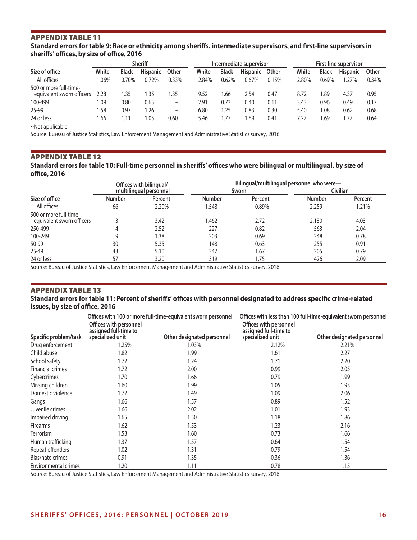# APPENDIX TABLE 11

**Standard errors for table 9: Race or ethnicity among sheriffs, intermediate supervisors, and first-line supervisors in sheriffs' offices, by size of office, 2016**

| Sheriff                                             |       |              |                 | Intermediate supervisor |       |              | <b>First-line supervisor</b> |       |       |              |                 |       |
|-----------------------------------------------------|-------|--------------|-----------------|-------------------------|-------|--------------|------------------------------|-------|-------|--------------|-----------------|-------|
| Size of office                                      | White | <b>Black</b> | <b>Hispanic</b> | Other                   | White | <b>Black</b> | <b>Hispanic</b>              | Other | White | <b>Black</b> | <b>Hispanic</b> | Other |
| All offices                                         | .06%  | 0.70%        | 0.72%           | 0.33%                   | 2.84% | 0.62%        | 0.67%                        | 0.15% | 2.80% | 0.69%        | .27%            | 0.34% |
| 500 or more full-time-<br>equivalent sworn officers | 2.28  | .35          | .35             | .35                     | 9.52  | .66          | 2.54                         | 0.47  | 8.72  | 89.ا         | 4.37            | 0.95  |
| 100-499                                             | .09   | 0.80         | 0.65            | $\sim$                  | 2.91  | 0.73         | 0.40                         | 0.11  | 3.43  | 0.96         | 0.49            | 0.17  |
| 25-99                                               | 1.58  | 0.97         | .26             | $\sim$                  | 6.80  | .25          | 0.83                         | 0.30  | 5.40  | 1.08         | 0.62            | 0.68  |
| 24 or less                                          | .66   | 1.11         | .05             | 0.60                    | 5.46  | .77          | .89                          | 0.41  | 7.27  | .69          | 1.77            | 0.64  |

~Not applicable.

Source: Bureau of Justice Statistics, Law Enforcement Management and Administrative Statistics survey, 2016.

# APPENDIX TABLE 12

**Standard errors for table 10: Full-time personnel in sheriffs' offices who were bilingual or multilingual, by size of office, 2016**

|               |         | Bilingual/multilingual personnel who were-        |         |               |          |  |  |
|---------------|---------|---------------------------------------------------|---------|---------------|----------|--|--|
|               |         |                                                   |         |               | Civilian |  |  |
| <b>Number</b> | Percent | <b>Number</b>                                     | Percent | <b>Number</b> | Percent  |  |  |
| 66            | 2.20%   | .548                                              | 0.89%   | 2,259         | 1.21%    |  |  |
|               | 3.42    | .462                                              | 2.72    | 2,130         | 4.03     |  |  |
|               | 2.52    | 227                                               | 0.82    | 563           | 2.04     |  |  |
|               | .38     | 203                                               | 0.69    | 248           | 0.78     |  |  |
| 30            | 5.35    | 148                                               | 0.63    | 255           | 0.91     |  |  |
| 43            | 5.10    | 347                                               | 1.67    | 205           | 0.79     |  |  |
| 57            | 3.20    | 319                                               | 1.75    | 426           | 2.09     |  |  |
|               |         | Offices with bilingual/<br>multilingual personnel |         | Sworn         |          |  |  |

Source: Bureau of Justice Statistics, Law Enforcement Management and Administrative Statistics survey, 2016.

#### APPENDIX TABLE 13

#### **Standard errors for table 11: Percent of sheriffs' offices with personnel designated to address specific crime-related issues, by size of office, 2016**

|                             |                                                                     | Offices with 100 or more full-time-equivalent sworn personnel                                                | Offices with less than 100 full-time-equivalent sworn personnel     |                            |  |
|-----------------------------|---------------------------------------------------------------------|--------------------------------------------------------------------------------------------------------------|---------------------------------------------------------------------|----------------------------|--|
| Specific problem/task       | Offices with personnel<br>assigned full-time to<br>specialized unit | Other designated personnel                                                                                   | Offices with personnel<br>assigned full-time to<br>specialized unit | Other designated personnel |  |
| Drug enforcement            | 1.25%                                                               | 1.03%                                                                                                        | 2.12%                                                               | 2.21%                      |  |
| Child abuse                 | 1.82                                                                | 1.99                                                                                                         | 1.61                                                                | 2.27                       |  |
| School safety               | 1.72                                                                | 1.24                                                                                                         | 1.71                                                                | 2.20                       |  |
| <b>Financial crimes</b>     | 1.72                                                                | 2.00                                                                                                         | 0.99                                                                | 2.05                       |  |
| Cybercrimes                 | 1.70                                                                | 1.66                                                                                                         | 0.79                                                                | 1.99                       |  |
| Missing children            | 1.60                                                                | 1.99                                                                                                         | 1.05                                                                | 1.93                       |  |
| Domestic violence           | 1.72                                                                | 1.49                                                                                                         | 1.09                                                                | 2.06                       |  |
| Gangs                       | 1.66                                                                | 1.57                                                                                                         | 0.89                                                                | 1.52                       |  |
| Juvenile crimes             | 1.66                                                                | 2.02                                                                                                         | 1.01                                                                | 1.93                       |  |
| Impaired driving            | 1.65                                                                | 1.50                                                                                                         | 1.18                                                                | 1.86                       |  |
| <b>Firearms</b>             | 1.62                                                                | 1.53                                                                                                         | 1.23                                                                | 2.16                       |  |
| <b>Terrorism</b>            | 1.53                                                                | 1.60                                                                                                         | 0.73                                                                | 1.66                       |  |
| Human trafficking           | 1.37                                                                | 1.57                                                                                                         | 0.64                                                                | 1.54                       |  |
| Repeat offenders            | 1.02                                                                | 1.31                                                                                                         | 0.79                                                                | 1.54                       |  |
| Bias/hate crimes            | 0.91                                                                | 1.35                                                                                                         | 0.36                                                                | 1.36                       |  |
| <b>Environmental crimes</b> | 1.20                                                                | 1.11                                                                                                         | 0.78                                                                | 1.15                       |  |
|                             |                                                                     | Source: Bureau of Justice Statistics, Law Enforcement Management and Administrative Statistics survey, 2016. |                                                                     |                            |  |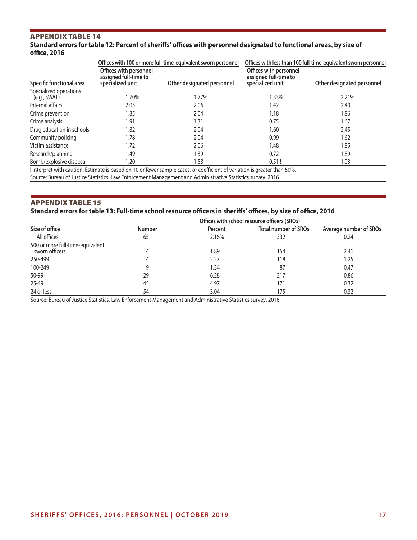# APPENDIX TABLE 14

# **Standard errors for table 12: Percent of sheriffs' offices with personnel designated to functional areas, by size of office, 2016**

|                                        |                                                                     | Offices with 100 or more full-time-equivalent sworn personnel | Offices with less than 100 full-time-equivalent sworn personnel     |                            |  |  |
|----------------------------------------|---------------------------------------------------------------------|---------------------------------------------------------------|---------------------------------------------------------------------|----------------------------|--|--|
| Specific functional area               | Offices with personnel<br>assigned full-time to<br>specialized unit | Other designated personnel                                    | Offices with personnel<br>assigned full-time to<br>specialized unit | Other designated personnel |  |  |
| Specialized operations<br>(e.g., SWAT) | 1.70%                                                               | 1.77%                                                         | .33%                                                                | 2.21%                      |  |  |
| Internal affairs                       | 2.05                                                                | 2.06                                                          | 1.42                                                                | 2.40                       |  |  |
| Crime prevention                       | 1.85                                                                | 2.04                                                          | 1.18                                                                | 1.86                       |  |  |
| Crime analysis                         | 1.91                                                                | 1.31                                                          | 0.75                                                                | 1.67                       |  |  |
| Drug education in schools              | 1.82                                                                | 2.04                                                          | 1.60                                                                | 2.45                       |  |  |
| Community policing                     | 1.78                                                                | 2.04                                                          | 0.99                                                                | 1.62                       |  |  |
| Victim assistance                      | 1.72                                                                | 2.06                                                          | 1.48                                                                | 1.85                       |  |  |
| Research/planning                      | 1.49                                                                | 1.39                                                          | 0.72                                                                | 1.89                       |  |  |
| Bomb/explosive disposal                | 1.20                                                                | 1.58                                                          | 0.51!                                                               | 1.03                       |  |  |

! Interpret with caution. Estimate is based on 10 or fewer sample cases, or coefficient of variation is greater than 50%.

Source: Bureau of Justice Statistics, Law Enforcement Management and Administrative Statistics survey, 2016.

# APPENDIX TABLE 15

# **Standard errors for table 13: Full-time school resource officers in sheriffs' offices, by size of office, 2016**

|                                                                                                              | Offices with school resource officers (SROs) |         |                             |                        |  |  |  |  |
|--------------------------------------------------------------------------------------------------------------|----------------------------------------------|---------|-----------------------------|------------------------|--|--|--|--|
| Size of office                                                                                               | <b>Number</b>                                | Percent | <b>Total number of SROs</b> | Average number of SROs |  |  |  |  |
| All offices                                                                                                  | 65                                           | 2.16%   | 332                         | 0.24                   |  |  |  |  |
| 500 or more full-time-equivalent<br>sworn officers                                                           | 4                                            | 1.89    | 154                         | 2.41                   |  |  |  |  |
| 250-499                                                                                                      | 4                                            | 2.27    | 118                         | 1.25                   |  |  |  |  |
| 100-249                                                                                                      | 9                                            | 1.34    | 87                          | 0.47                   |  |  |  |  |
| 50-99                                                                                                        | 29                                           | 6.28    | 217                         | 0.86                   |  |  |  |  |
| 25-49                                                                                                        | 45                                           | 4.97    | 171                         | 0.32                   |  |  |  |  |
| 24 or less                                                                                                   | 54                                           | 3.04    | 175                         | 0.32                   |  |  |  |  |
| Source: Bureau of Justice Statistics, Law Enforcement Management and Administrative Statistics survey, 2016. |                                              |         |                             |                        |  |  |  |  |